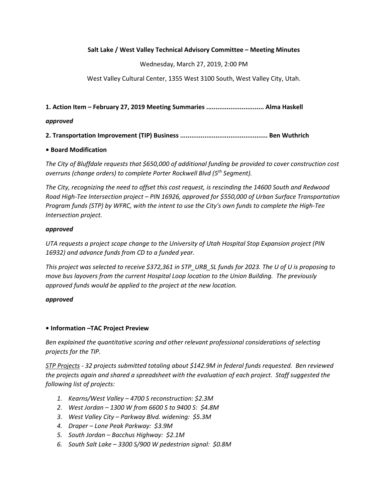## Salt Lake / West Valley Technical Advisory Committee – Meeting Minutes

Wednesday, March 27, 2019, 2:00 PM

West Valley Cultural Center, 1355 West 3100 South, West Valley City, Utah.

1. Action Item – February 27, 2019 Meeting Summaries ............................... Alma Haskell

## approved

2. Transportation Improvement (TIP) Business ............................................... Ben Wuthrich

# • Board Modification

The City of Bluffdale requests that \$650,000 of additional funding be provided to cover construction cost overruns (change orders) to complete Porter Rockwell Blvd (5<sup>th</sup> Segment).

The City, recognizing the need to offset this cost request, is rescinding the 14600 South and Redwood Road High-Tee Intersection project – PIN 16926, approved for \$550,000 of Urban Surface Transportation Program funds (STP) by WFRC, with the intent to use the City's own funds to complete the High-Tee Intersection project.

## approved

UTA requests a project scope change to the University of Utah Hospital Stop Expansion project (PIN 16932) and advance funds from CD to a funded year.

This project was selected to receive \$372,361 in STP\_URB\_SL funds for 2023. The U of U is proposing to move bus layovers from the current Hospital Loop location to the Union Building. The previously approved funds would be applied to the project at the new location.

#### approved

# • Information –TAC Project Preview

Ben explained the quantitative scoring and other relevant professional considerations of selecting projects for the TIP.

STP Projects - 32 projects submitted totaling about \$142.9M in federal funds requested. Ben reviewed the projects again and shared a spreadsheet with the evaluation of each project. Staff suggested the following list of projects:

- 1. Kearns/West Valley 4700 S reconstruction: \$2.3M
- 2. West Jordan 1300 W from 6600 S to 9400 S: \$4.8M
- 3. West Valley City Parkway Blvd. widening: \$5.3M
- 4. Draper Lone Peak Parkway: \$3.9M
- 5. South Jordan Bacchus Highway: \$2.1M
- 6. South Salt Lake 3300 S/900 W pedestrian signal: \$0.8M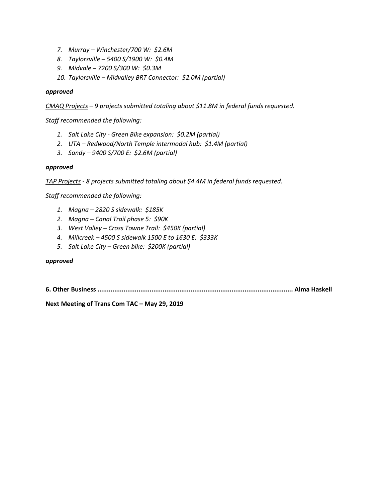- 7. Murray Winchester/700 W: \$2.6M
- 8. Taylorsville 5400 S/1900 W: \$0.4M
- 9. Midvale 7200 S/300 W: \$0.3M
- 10. Taylorsville Midvalley BRT Connector: \$2.0M (partial)

#### approved

CMAQ Projects – 9 projects submitted totaling about \$11.8M in federal funds requested.

Staff recommended the following:

- 1. Salt Lake City Green Bike expansion: \$0.2M (partial)
- 2. UTA Redwood/North Temple intermodal hub: \$1.4M (partial)
- 3. Sandy 9400 S/700 E: \$2.6M (partial)

#### approved

TAP Projects - 8 projects submitted totaling about \$4.4M in federal funds requested.

Staff recommended the following:

- 1. Magna 2820 S sidewalk: \$185K
- 2. Magna Canal Trail phase 5: \$90K
- 3. West Valley Cross Towne Trail: \$450K (partial)
- 4. Millcreek 4500 S sidewalk 1500 E to 1630 E: \$333K
- 5. Salt Lake City Green bike: \$200K (partial)

#### approved

6. Other Business ......................................................................................................... Alma Haskell

Next Meeting of Trans Com TAC – May 29, 2019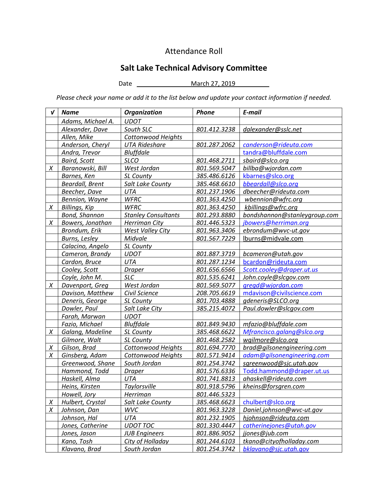# Attendance Roll

# Salt Lake Technical Advisory Committee

Date \_\_ March 27, 2019 \_\_

Please check your name or add it to the list below and update your contact information if needed.

| V | <b>Name</b>            | <b>Organization</b>        | Phone        | E-mail                       |
|---|------------------------|----------------------------|--------------|------------------------------|
|   | Adams, Michael A.      | <b>UDOT</b>                |              |                              |
|   | Alexander, Dave        | South SLC                  | 801.412.3238 | dalexander@sslc.net          |
|   | Allen, Mike            | <b>Cottonwood Heights</b>  |              |                              |
|   | Anderson, Cheryl       | <b>UTA Rideshare</b>       | 801.287.2062 | canderson@rideuta.com        |
|   | Andra, Trevor          | <b>Bluffdale</b>           |              | tandra@bluffdale.com         |
|   | <b>Baird, Scott</b>    | <b>SLCO</b>                | 801.468.2711 | sbaird@slco.org              |
| X | Baranowski, Bill       | West Jordan                | 801.569.5047 | billba@wjordan.com           |
|   | Barnes, Ken            | SL County                  | 385.486.6126 | kbarnes@slco.org             |
|   | <b>Beardall, Brent</b> | Salt Lake County           | 385.468.6610 | bbeardall@slco.org           |
|   | Beecher, Dave          | UTA                        | 801.237.1906 | dbeecher@rideuta.com         |
|   | Bennion, Wayne         | <b>WFRC</b>                | 801.363.4250 | wbennion@wfrc.org            |
| X | <b>Billings, Kip</b>   | <b>WFRC</b>                | 801.363.4250 | kbillings@wfrc.org           |
|   | <b>Bond, Shannon</b>   | <b>Stanley Consultants</b> | 801.293.8880 | bondshannon@stanleygroup.com |
| X | Bowers, Jonathan       | <b>Herriman City</b>       | 801.446.5323 | jbowers@herriman.org         |
|   | Brondum, Erik          | West Valley City           | 801.963.3406 | ebrondum@wvc-ut.gov          |
|   | Burns, Lesley          | Midvale                    | 801.567.7229 | lburns@midvale.com           |
|   | Calacino, Angelo       | SL County                  |              |                              |
|   | Cameron, Brandy        | <b>UDOT</b>                | 801.887.3719 | bcameron@utah.gov            |
|   | Cardon, Bruce          | UTA                        | 801.287.1234 | bcardon@rideuta.com          |
|   | Cooley, Scott          | <b>Draper</b>              | 801.656.6566 | Scott.cooley@draper.ut.us    |
|   | Coyle, John M.         | <b>SLC</b>                 | 801.535.6241 | John.coyle@slcgov.com        |
| X | Davenport, Greg        | West Jordan                | 801.569.5077 | gregd@wjordan.com            |
|   | Davison, Matthew       | Civil Science              | 208.705.6619 | mdavison@civilscience.com    |
|   | Deneris, George        | SL County                  | 801.703.4888 | gdeneris@SLCO.org            |
|   | Dowler, Paul           | Salt Lake City             | 385.215.4072 | Paul.dowler@slcgov.com       |
|   | Farah, Marwan          | <b>UDOT</b>                |              |                              |
|   | Fazio, Michael         | <b>Bluffdale</b>           | 801.849.9430 | mfazio@bluffdale.com         |
| X | Galang, Madeline       | SL County                  | 385.468.6622 | Mfrancisco.galang@slco.org   |
|   | Gilmore, Walt          | SL County                  | 801.468.2582 | wgilmore@slco.org            |
| X | Gilson, Brad           | Cottonwood Heights         | 801.694.7770 | brad@gilsonengineering.com   |
| X | Ginsberg, Adam         | Cottonwood Heights         | 801.571.9414 | adam@qilsonengineering.com   |
|   | Greenwood, Shane       | South Jordan               | 801.254.3742 | sgreenwood@sjc.utah.gov      |
|   | Hammond, Todd          | <b>Draper</b>              | 801.576.6336 | Todd.hammond@draper.ut.us    |
|   | Haskell, Alma          | <b>UTA</b>                 | 801.741.8813 | ahaskell@rideuta.com         |
|   | Heins, Kirsten         | Taylorsville               | 801.918.5796 | kheins@forsgren.com          |
|   | Howell, Jory           | Herriman                   | 801.446.5323 |                              |
| X | Hulbert, Crystal       | Salt Lake County           | 385.468.6623 | chulbert@slco.org            |
| X | Johnson, Dan           | <b>WVC</b>                 | 801.963.3228 | Daniel.johnson@wvc-ut.gov    |
|   | Johnson, Hal           | UTA                        | 801.232.1905 | hjohnson@rideuta.com         |
|   | Jones, Catherine       | <b>UDOT TOC</b>            | 801.330.4447 | catherinejones@utah.gov      |
|   | Jones, Jason           | <b>JUB Engineers</b>       | 801.886.9052 | jjones@jub.com               |
|   | Kano, Tosh             | City of Holladay           | 801.244.6103 | tkano@cityofholladay.com     |
|   | Klavano, Brad          | South Jordan               | 801.254.3742 | bklavano@sjc.utah.gov        |